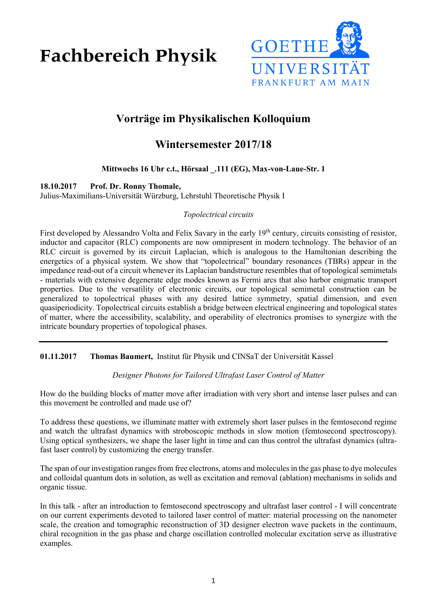**Fachbereich Physik** 



# **Vorträge im Physikalischen Kolloquium**

## **Wintersemester 2017/18**

## **Mittwochs 16 Uhr c.t., Hörsaal \_.111 (EG), Max-von-Laue-Str. 1**

### **18.10.2017 Prof. Dr. Ronny Thomale,**

Julius-Maximilians-Universität Würzburg, Lehrstuhl Theoretische Physik I

### *Topolectrical circuits*

First developed by Alessandro Volta and Felix Savary in the early 19<sup>th</sup> century, circuits consisting of resistor, inductor and capacitor (RLC) components are now omnipresent in modern technology. The behavior of an RLC circuit is governed by its circuit Laplacian, which is analogous to the Hamiltonian describing the energetics of a physical system. We show that "topolectrical" boundary resonances (TBRs) appear in the impedance read-out of a circuit whenever its Laplacian bandstructure resembles that of topological semimetals - materials with extensive degenerate edge modes known as Fermi arcs that also harbor enigmatic transport properties. Due to the versatility of electronic circuits, our topological semimetal construction can be generalized to topolectrical phases with any desired lattice symmetry, spatial dimension, and even quasiperiodicity. Topolectrical circuits establish a bridge between electrical engineering and topological states of matter, where the accessibility, scalability, and operability of electronics promises to synergize with the intricate boundary properties of topological phases.

**01.11.2017 Thomas Baumert,** Institut für Physik und CINSaT der Universität Kassel

*Designer Photons for Tailored Ultrafast Laser Control of Matter*

How do the building blocks of matter move after irradiation with very short and intense laser pulses and can this movement be controlled and made use of?

To address these questions, we illuminate matter with extremely short laser pulses in the femtosecond regime and watch the ultrafast dynamics with stroboscopic methods in slow motion (femtosecond spectroscopy). Using optical synthesizers, we shape the laser light in time and can thus control the ultrafast dynamics (ultrafast laser control) by customizing the energy transfer.

The span of our investigation ranges from free electrons, atoms and molecules in the gas phase to dye molecules and colloidal quantum dots in solution, as well as excitation and removal (ablation) mechanisms in solids and organic tissue.

In this talk - after an introduction to femtosecond spectroscopy and ultrafast laser control - I will concentrate on our current experiments devoted to tailored laser control of matter: material processing on the nanometer scale, the creation and tomographic reconstruction of 3D designer electron wave packets in the continuum, chiral recognition in the gas phase and charge oscillation controlled molecular excitation serve as illustrative examples.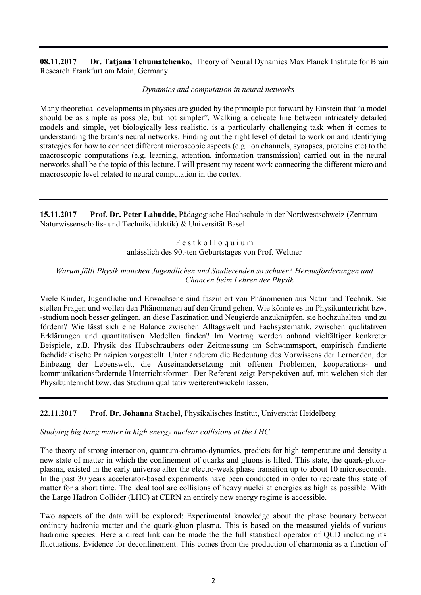**08.11.2017 Dr. Tatjana Tchumatchenko,** Theory of Neural Dynamics Max Planck Institute for Brain Research Frankfurt am Main, Germany

*Dynamics and computation in neural networks*

Many theoretical developments in physics are guided by the principle put forward by Einstein that "a model should be as simple as possible, but not simpler". Walking a delicate line between intricately detailed models and simple, yet biologically less realistic, is a particularly challenging task when it comes to understanding the brain's neural networks. Finding out the right level of detail to work on and identifying strategies for how to connect different microscopic aspects (e.g. ion channels, synapses, proteins etc) to the macroscopic computations (e.g. learning, attention, information transmission) carried out in the neural networks shall be the topic of this lecture. I will present my recent work connecting the different micro and macroscopic level related to neural computation in the cortex.

**15.11.2017 Prof. Dr. Peter Labudde,** Pädagogische Hochschule in der Nordwestschweiz (Zentrum Naturwissenschafts- und Technikdidaktik) & Universität Basel

> F e s t k o l l o q u i u m anlässlich des 90.-ten Geburtstages von Prof. Weltner

#### *Warum fällt Physik manchen Jugendlichen und Studierenden so schwer? Herausforderungen und Chancen beim Lehren der Physik*

Viele Kinder, Jugendliche und Erwachsene sind fasziniert von Phänomenen aus Natur und Technik. Sie stellen Fragen und wollen den Phänomenen auf den Grund gehen. Wie könnte es im Physikunterricht bzw. -studium noch besser gelingen, an diese Faszination und Neugierde anzuknüpfen, sie hochzuhalten und zu fördern? Wie lässt sich eine Balance zwischen Alltagswelt und Fachsystematik, zwischen qualitativen Erklärungen und quantitativen Modellen finden? Im Vortrag werden anhand vielfältiger konkreter Beispiele, z.B. Physik des Hubschraubers oder Zeitmessung im Schwimmsport, empirisch fundierte fachdidaktische Prinzipien vorgestellt. Unter anderem die Bedeutung des Vorwissens der Lernenden, der Einbezug der Lebenswelt, die Auseinandersetzung mit offenen Problemen, kooperations- und kommunikationsfördernde Unterrichtsformen. Der Referent zeigt Perspektiven auf, mit welchen sich der Physikunterricht bzw. das Studium qualitativ weiterentwickeln lassen.

### **22.11.2017 Prof. Dr. Johanna Stachel,** Physikalisches Institut, Universität Heidelberg

### *Studying big bang matter in high energy nuclear collisions at the LHC*

The theory of strong interaction, quantum-chromo-dynamics, predicts for high temperature and density a new state of matter in which the confinement of quarks and gluons is lifted. This state, the quark-gluonplasma, existed in the early universe after the electro-weak phase transition up to about 10 microseconds. In the past 30 years accelerator-based experiments have been conducted in order to recreate this state of matter for a short time. The ideal tool are collisions of heavy nuclei at energies as high as possible. With the Large Hadron Collider (LHC) at CERN an entirely new energy regime is accessible.

Two aspects of the data will be explored: Experimental knowledge about the phase bounary between ordinary hadronic matter and the quark-gluon plasma. This is based on the measured yields of various hadronic species. Here a direct link can be made the the full statistical operator of QCD including it's fluctuations. Evidence for deconfinement. This comes from the production of charmonia as a function of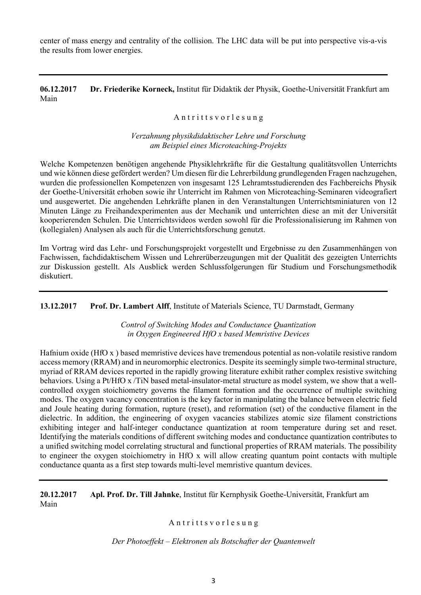center of mass energy and centrality of the collision. The LHC data will be put into perspective vis-a-vis the results from lower energies.

**06.12.2017 Dr. Friederike Korneck,** Institut für Didaktik der Physik, Goethe-Universität Frankfurt am Main

#### Antritts vor les ung

*Verzahnung physikdidaktischer Lehre und Forschung am Beispiel eines Microteaching-Projekts*

Welche Kompetenzen benötigen angehende Physiklehrkräfte für die Gestaltung qualitätsvollen Unterrichts und wie können diese gefördert werden? Um diesen für die Lehrerbildung grundlegenden Fragen nachzugehen, wurden die professionellen Kompetenzen von insgesamt 125 Lehramtsstudierenden des Fachbereichs Physik der Goethe-Universität erhoben sowie ihr Unterricht im Rahmen von Microteaching-Seminaren videografiert und ausgewertet. Die angehenden Lehrkräfte planen in den Veranstaltungen Unterrichtsminiaturen von 12 Minuten Länge zu Freihandexperimenten aus der Mechanik und unterrichten diese an mit der Universität kooperierenden Schulen. Die Unterrichtsvideos werden sowohl für die Professionalisierung im Rahmen von (kollegialen) Analysen als auch für die Unterrichtsforschung genutzt.

Im Vortrag wird das Lehr- und Forschungsprojekt vorgestellt und Ergebnisse zu den Zusammenhängen von Fachwissen, fachdidaktischem Wissen und Lehrerüberzeugungen mit der Qualität des gezeigten Unterrichts zur Diskussion gestellt. Als Ausblick werden Schlussfolgerungen für Studium und Forschungsmethodik diskutiert.

**13.12.2017 Prof. Dr. Lambert Alff**, Institute of Materials Science, TU Darmstadt, Germany

*Control of Switching Modes and Conductance Quantization in Oxygen Engineered HfO x based Memristive Devices*

Hafnium oxide (HfO x ) based memristive devices have tremendous potential as non-volatile resistive random access memory (RRAM) and in neuromorphic electronics. Despite its seemingly simple two-terminal structure, myriad of RRAM devices reported in the rapidly growing literature exhibit rather complex resistive switching behaviors. Using a Pt/HfO x /TiN based metal-insulator-metal structure as model system, we show that a wellcontrolled oxygen stoichiometry governs the filament formation and the occurrence of multiple switching modes. The oxygen vacancy concentration is the key factor in manipulating the balance between electric field and Joule heating during formation, rupture (reset), and reformation (set) of the conductive filament in the dielectric. In addition, the engineering of oxygen vacancies stabilizes atomic size filament constrictions exhibiting integer and half-integer conductance quantization at room temperature during set and reset. Identifying the materials conditions of different switching modes and conductance quantization contributes to a unified switching model correlating structural and functional properties of RRAM materials. The possibility to engineer the oxygen stoichiometry in HfO x will allow creating quantum point contacts with multiple conductance quanta as a first step towards multi-level memristive quantum devices.

**20.12.2017 Apl. Prof. Dr. Till Jahnke**, Institut für Kernphysik Goethe-Universität, Frankfurt am Main

Antritts vor le sung

*Der Photoeffekt – Elektronen als Botschafter der Quantenwelt*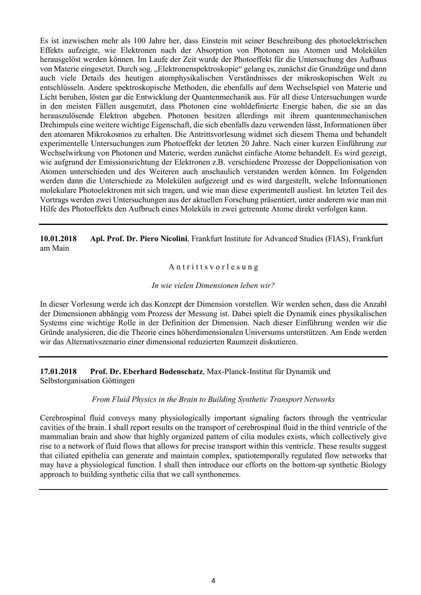Es ist inzwischen mehr als 100 Jahre her, dass Einstein mit seiner Beschreibung des photoelektrischen Effekts aufzeigte, wie Elektronen nach der Absorption von Photonen aus Atomen und Molekülen herausgelöst werden können. Im Laufe der Zeit wurde der Photoeffekt für die Untersuchung des Aufbaus von Materie eingesetzt. Durch sog. "Elektronenspektroskopie" gelang es, zunächst die Grundzüge und dann auch viele Details des heutigen atomphysikalischen Verständnisses der mikroskopischen Welt zu entschlüsseln. Andere spektroskopische Methoden, die ebenfalls auf dem Wechselspiel von Materie und Licht beruhen, lösten gar die Entwicklung der Quantenmechanik aus. Für all diese Untersuchungen wurde in den meisten Fällen ausgenutzt, dass Photonen eine wohldefinierte Energie haben, die sie an das herauszulösende Elektron abgeben. Photonen besitzen allerdings mit ihrem quantenmechanischen Drehimpuls eine weitere wichtige Eigenschaft, die sich ebenfalls dazu verwenden lässt, Informationen über den atomaren Mikrokosmos zu erhalten. Die Antrittsvorlesung widmet sich diesem Thema und behandelt experimentelle Untersuchungen zum Photoeffekt der letzten 20 Jahre. Nach einer kurzen Einführung zur Wechselwirkung von Photonen und Materie, werden zunächst einfache Atome behandelt. Es wird gezeigt, wie aufgrund der Emissionsrichtung der Elektronen z.B. verschiedene Prozesse der Doppelionisation von Atomen unterschieden und des Weiteren auch anschaulich verstanden werden können. Im Folgenden werden dann die Unterschiede zu Molekülen aufgezeigt und es wird dargestellt, welche Informationen molekulare Photoelektronen mit sich tragen, und wie man diese experimentell ausliest. Im letzten Teil des Vortrags werden zwei Untersuchungen aus der aktuellen Forschung präsentiert, unter anderem wie man mit Hilfe des Photoeffekts den Aufbruch eines Moleküls in zwei getrennte Atome direkt verfolgen kann.

**10.01.2018 Apl. Prof. Dr. Piero Nicolini**, Frankfurt Institute for Advanced Studies (FIAS), Frankfurt am Main

Antritts vorles ung

#### *In wie vielen Dimensionen leben wir?*

In dieser Vorlesung werde ich das Konzept der Dimension vorstellen. Wir werden sehen, dass die Anzahl der Dimensionen abhängig vom Prozess der Messung ist. Dabei spielt die Dynamik eines physikalischen Systems eine wichtige Rolle in der Definition der Dimension. Nach dieser Einführung werden wir die Gründe analysieren, die die Theorie eines höherdimensionalen Universums unterstützen. Am Ende werden wir das Alternativszenario einer dimensional reduzierten Raumzeit diskutieren.

**17.01.2018 Prof. Dr. Eberhard Bodenschatz**, Max-Planck-Institut für Dynamik und Selbstorganisation Göttingen

#### *From Fluid Physics in the Brain to Building Synthetic Transport Networks*

Cerebrospinal fluid conveys many physiologically important signaling factors through the ventricular cavities of the brain. I shall report results on the transport of cerebrospinal fluid in the third ventricle of the mammalian brain and show that highly organized pattern of cilia modules exists, which collectively give rise to a network of fluid flows that allows for precise transport within this ventricle. These results suggest that ciliated epithelia can generate and maintain complex, spatiotemporally regulated flow networks that may have a physiological function. I shall then introduce our efforts on the bottom-up synthetic Biology approach to building synthetic cilia that we call synthonemes.